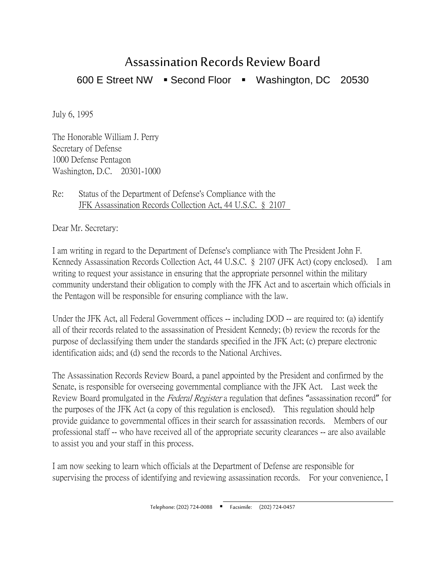## Assassination Records Review Board 600 E Street NW · Second Floor · Washington, DC 20530

July 6, 1995

The Honorable William J. Perry Secretary of Defense 1000 Defense Pentagon Washington, D.C. 20301-1000

Re: Status of the Department of Defense's Compliance with the JFK Assassination Records Collection Act, 44 U.S.C. § 2107

Dear Mr. Secretary:

I am writing in regard to the Department of Defense's compliance with The President John F. Kennedy Assassination Records Collection Act, 44 U.S.C. § 2107 (JFK Act) (copy enclosed). I am writing to request your assistance in ensuring that the appropriate personnel within the military community understand their obligation to comply with the JFK Act and to ascertain which officials in the Pentagon will be responsible for ensuring compliance with the law.

Under the JFK Act, all Federal Government offices -- including DOD -- are required to: (a) identify all of their records related to the assassination of President Kennedy; (b) review the records for the purpose of declassifying them under the standards specified in the JFK Act; (c) prepare electronic identification aids; and (d) send the records to the National Archives.

The Assassination Records Review Board, a panel appointed by the President and confirmed by the Senate, is responsible for overseeing governmental compliance with the JFK Act. Last week the Review Board promulgated in the Federal Register a regulation that defines "assassination record" for the purposes of the JFK Act (a copy of this regulation is enclosed). This regulation should help provide guidance to governmental offices in their search for assassination records. Members of our professional staff -- who have received all of the appropriate security clearances -- are also available to assist you and your staff in this process.

I am now seeking to learn which officials at the Department of Defense are responsible for supervising the process of identifying and reviewing assassination records. For your convenience, I

> $\overline{a}$ Telephone: (202) 724-0088 Facsimile: (202) 724-0457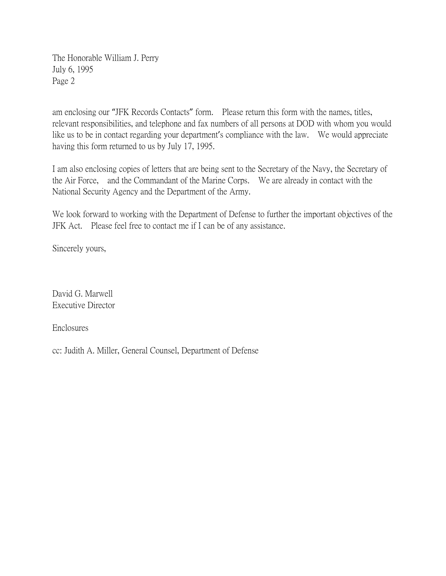The Honorable William J. Perry July 6, 1995 Page 2

am enclosing our "JFK Records Contacts" form. Please return this form with the names, titles, relevant responsibilities, and telephone and fax numbers of all persons at DOD with whom you would like us to be in contact regarding your department's compliance with the law. We would appreciate having this form returned to us by July 17, 1995.

I am also enclosing copies of letters that are being sent to the Secretary of the Navy, the Secretary of the Air Force, and the Commandant of the Marine Corps. We are already in contact with the National Security Agency and the Department of the Army.

We look forward to working with the Department of Defense to further the important objectives of the JFK Act. Please feel free to contact me if I can be of any assistance.

Sincerely yours,

David G. Marwell Executive Director

Enclosures

cc: Judith A. Miller, General Counsel, Department of Defense